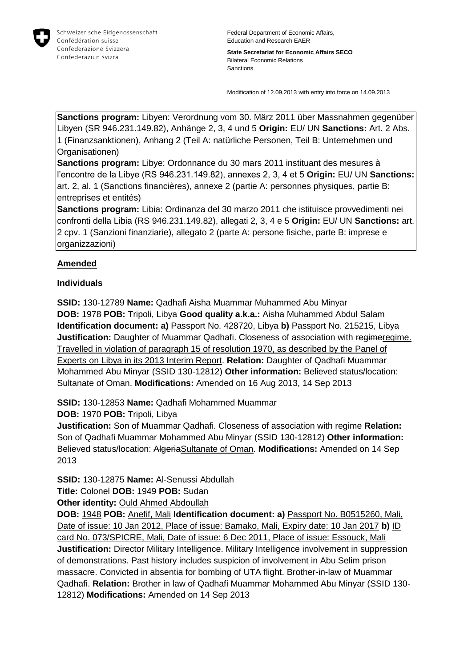

Federal Department of Economic Affairs, Education and Research EAER

**State Secretariat for Economic Affairs SECO** Bilateral Economic Relations Sanctions

Modification of 12.09.2013 with entry into force on 14.09.2013

**Sanctions program:** Libyen: Verordnung vom 30. März 2011 über Massnahmen gegenüber Libyen (SR 946.231.149.82), Anhänge 2, 3, 4 und 5 **Origin:** EU/ UN **Sanctions:** Art. 2 Abs. 1 (Finanzsanktionen), Anhang 2 (Teil A: natürliche Personen, Teil B: Unternehmen und Organisationen)

**Sanctions program:** Libye: Ordonnance du 30 mars 2011 instituant des mesures à l'encontre de la Libye (RS 946.231.149.82), annexes 2, 3, 4 et 5 **Origin:** EU/ UN **Sanctions:** art. 2, al. 1 (Sanctions financières), annexe 2 (partie A: personnes physiques, partie B: entreprises et entités)

**Sanctions program:** Libia: Ordinanza del 30 marzo 2011 che istituisce provvedimenti nei confronti della Libia (RS 946.231.149.82), allegati 2, 3, 4 e 5 **Origin:** EU/ UN **Sanctions:** art. 2 cpv. 1 (Sanzioni finanziarie), allegato 2 (parte A: persone fisiche, parte B: imprese e organizzazioni)

## **Amended**

## **Individuals**

**SSID:** 130-12789 **Name:** Qadhafi Aisha Muammar Muhammed Abu Minyar **DOB:** 1978 **POB:** Tripoli, Libya **Good quality a.k.a.:** Aisha Muhammed Abdul Salam **Identification document: a)** Passport No. 428720, Libya **b)** Passport No. 215215, Libya **Justification:** Daughter of Muammar Qadhafi. Closeness of association with regimeregime. Travelled in violation of paragraph 15 of resolution 1970, as described by the Panel of Experts on Libya in its 2013 Interim Report. **Relation:** Daughter of Qadhafi Muammar Mohammed Abu Minyar (SSID 130-12812) **Other information:** Believed status/location: Sultanate of Oman. **Modifications:** Amended on 16 Aug 2013, 14 Sep 2013

**SSID:** 130-12853 **Name:** Qadhafi Mohammed Muammar

**DOB:** 1970 **POB:** Tripoli, Libya

**Justification:** Son of Muammar Qadhafi. Closeness of association with regime **Relation:** Son of Qadhafi Muammar Mohammed Abu Minyar (SSID 130-12812) **Other information:** Believed status/location: AlgeriaSultanate of Oman. **Modifications:** Amended on 14 Sep 2013

**SSID:** 130-12875 **Name:** Al-Senussi Abdullah

**Title:** Colonel **DOB:** 1949 **POB:** Sudan

**Other identity: Ould Ahmed Abdoullah** 

**DOB:** 1948 **POB:** Anefif, Mali **Identification document: a)** Passport No. B0515260, Mali, Date of issue: 10 Jan 2012, Place of issue: Bamako, Mali, Expiry date: 10 Jan 2017 **b)** ID card No. 073/SPICRE, Mali, Date of issue: 6 Dec 2011, Place of issue: Essouck, Mali **Justification:** Director Military Intelligence. Military Intelligence involvement in suppression of demonstrations. Past history includes suspicion of involvement in Abu Selim prison massacre. Convicted in absentia for bombing of UTA flight. Brother-in-law of Muammar Qadhafi. **Relation:** Brother in law of Qadhafi Muammar Mohammed Abu Minyar (SSID 130- 12812) **Modifications:** Amended on 14 Sep 2013